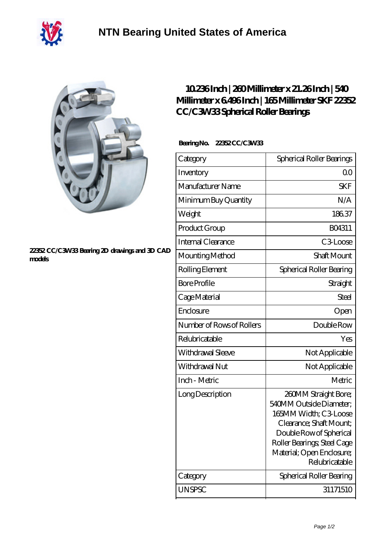



## **[22352 CC/C3W33 Bearing 2D drawings and 3D CAD](https://m.40ozbounce-tube.net/pic-267388.html) [models](https://m.40ozbounce-tube.net/pic-267388.html)**

## **[10.236 Inch | 260 Millimeter x 21.26 Inch | 540](https://m.40ozbounce-tube.net/bj-267388-skf-22352-cc-c3w33-spherical-roller-bearings.html) [Millimeter x 6.496 Inch | 165 Millimeter SKF 22352](https://m.40ozbounce-tube.net/bj-267388-skf-22352-cc-c3w33-spherical-roller-bearings.html) [CC/C3W33 Spherical Roller Bearings](https://m.40ozbounce-tube.net/bj-267388-skf-22352-cc-c3w33-spherical-roller-bearings.html)**

## **Bearing No. 22352 CC/C3W33**

| Category                  | Spherical Roller Bearings                                                                                                                                                                                    |
|---------------------------|--------------------------------------------------------------------------------------------------------------------------------------------------------------------------------------------------------------|
| Inventory                 | 0 <sup>0</sup>                                                                                                                                                                                               |
| Manufacturer Name         | <b>SKF</b>                                                                                                                                                                                                   |
| Minimum Buy Quantity      | N/A                                                                                                                                                                                                          |
| Weight                    | 18637                                                                                                                                                                                                        |
| Product Group             | BO4311                                                                                                                                                                                                       |
| Internal Clearance        | C <sub>3</sub> Loose                                                                                                                                                                                         |
| Mounting Method           | Shaft Mount                                                                                                                                                                                                  |
| Rolling Element           | Spherical Roller Bearing                                                                                                                                                                                     |
| <b>Bore Profile</b>       | Straight                                                                                                                                                                                                     |
| Cage Material             | Steel                                                                                                                                                                                                        |
| Enclosure                 | Open                                                                                                                                                                                                         |
| Number of Rows of Rollers | Double Row                                                                                                                                                                                                   |
| Relubricatable            | Yes                                                                                                                                                                                                          |
| Withdrawal Sleeve         | Not Applicable                                                                                                                                                                                               |
| Withdrawal Nut            | Not Applicable                                                                                                                                                                                               |
| Inch - Metric             | Metric                                                                                                                                                                                                       |
| Long Description          | 260MM Straight Bore;<br>540MM Outside Diameter;<br>165MM Width; C3 Loose<br>Clearance; Shaft Mount;<br>Double Row of Spherical<br>Roller Bearings; Steel Cage<br>Material; Open Enclosure;<br>Relubricatable |
| Category                  | Spherical Roller Bearing                                                                                                                                                                                     |
| <b>UNSPSC</b>             | 31171510                                                                                                                                                                                                     |